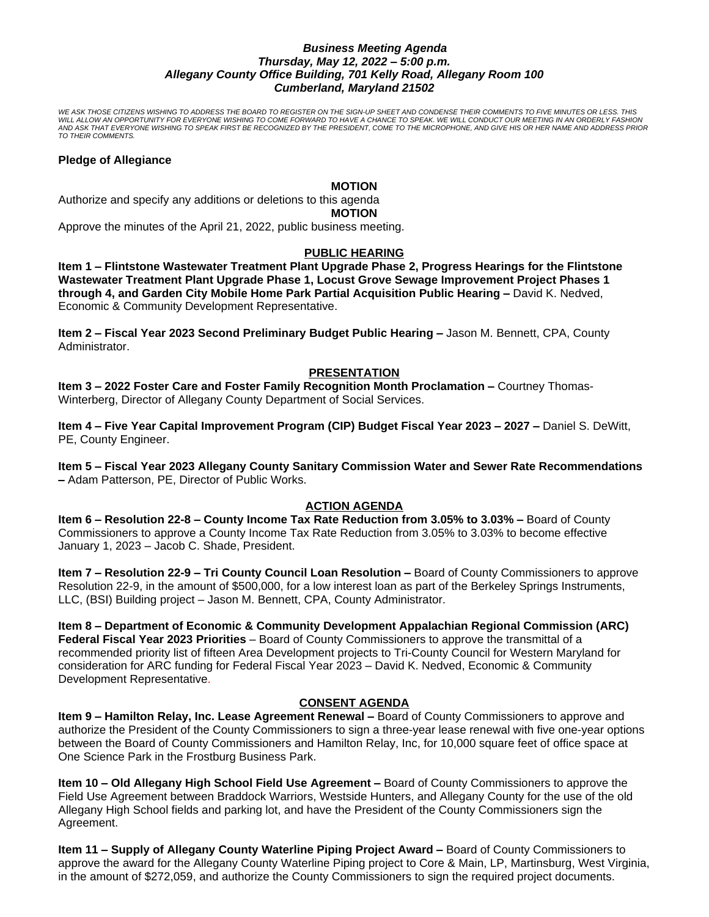## *Business Meeting Agenda Thursday, May 12, 2022 – 5:00 p.m. Allegany County Office Building, 701 Kelly Road, Allegany Room 100 Cumberland, Maryland 21502*

*WE ASK THOSE CITIZENS WISHING TO ADDRESS THE BOARD TO REGISTER ON THE SIGN-UP SHEET AND CONDENSE THEIR COMMENTS TO FIVE MINUTES OR LESS. THIS WILL ALLOW AN OPPORTUNITY FOR EVERYONE WISHING TO COME FORWARD TO HAVE A CHANCE TO SPEAK. WE WILL CONDUCT OUR MEETING IN AN ORDERLY FASHION AND ASK THAT EVERYONE WISHING TO SPEAK FIRST BE RECOGNIZED BY THE PRESIDENT, COME TO THE MICROPHONE, AND GIVE HIS OR HER NAME AND ADDRESS PRIOR TO THEIR COMMENTS.*

#### **Pledge of Allegiance**

#### **MOTION**

Authorize and specify any additions or deletions to this agenda **MOTION**

Approve the minutes of the April 21, 2022, public business meeting.

## **PUBLIC HEARING**

**Item 1 – Flintstone Wastewater Treatment Plant Upgrade Phase 2, Progress Hearings for the Flintstone Wastewater Treatment Plant Upgrade Phase 1, Locust Grove Sewage Improvement Project Phases 1 through 4, and Garden City Mobile Home Park Partial Acquisition Public Hearing –** David K. Nedved, Economic & Community Development Representative.

**Item 2 – Fiscal Year 2023 Second Preliminary Budget Public Hearing –** Jason M. Bennett, CPA, County Administrator.

# **PRESENTATION**

**Item 3 – 2022 Foster Care and Foster Family Recognition Month Proclamation –** Courtney Thomas-Winterberg, Director of Allegany County Department of Social Services.

**Item 4 – Five Year Capital Improvement Program (CIP) Budget Fiscal Year 2023 – 2027 –** Daniel S. DeWitt, PE, County Engineer.

**Item 5 – Fiscal Year 2023 Allegany County Sanitary Commission Water and Sewer Rate Recommendations –** Adam Patterson, PE, Director of Public Works.

## **ACTION AGENDA**

**Item 6 – Resolution 22-8 – County Income Tax Rate Reduction from 3.05% to 3.03% –** Board of County Commissioners to approve a County Income Tax Rate Reduction from 3.05% to 3.03% to become effective January 1, 2023 – Jacob C. Shade, President.

**Item 7 – Resolution 22-9 – Tri County Council Loan Resolution –** Board of County Commissioners to approve Resolution 22-9, in the amount of \$500,000, for a low interest loan as part of the Berkeley Springs Instruments, LLC, (BSI) Building project – Jason M. Bennett, CPA, County Administrator.

**Item 8 – Department of Economic & Community Development Appalachian Regional Commission (ARC) Federal Fiscal Year 2023 Priorities** – Board of County Commissioners to approve the transmittal of a recommended priority list of fifteen Area Development projects to Tri-County Council for Western Maryland for consideration for ARC funding for Federal Fiscal Year 2023 – David K. Nedved, Economic & Community Development Representative.

## **CONSENT AGENDA**

**Item 9 – Hamilton Relay, Inc. Lease Agreement Renewal – Board of County Commissioners to approve and** authorize the President of the County Commissioners to sign a three-year lease renewal with five one-year options between the Board of County Commissioners and Hamilton Relay, Inc, for 10,000 square feet of office space at One Science Park in the Frostburg Business Park.

**Item 10 – Old Allegany High School Field Use Agreement –** Board of County Commissioners to approve the Field Use Agreement between Braddock Warriors, Westside Hunters, and Allegany County for the use of the old Allegany High School fields and parking lot, and have the President of the County Commissioners sign the Agreement.

**Item 11 – Supply of Allegany County Waterline Piping Project Award –** Board of County Commissioners to approve the award for the Allegany County Waterline Piping project to Core & Main, LP, Martinsburg, West Virginia, in the amount of \$272,059, and authorize the County Commissioners to sign the required project documents.